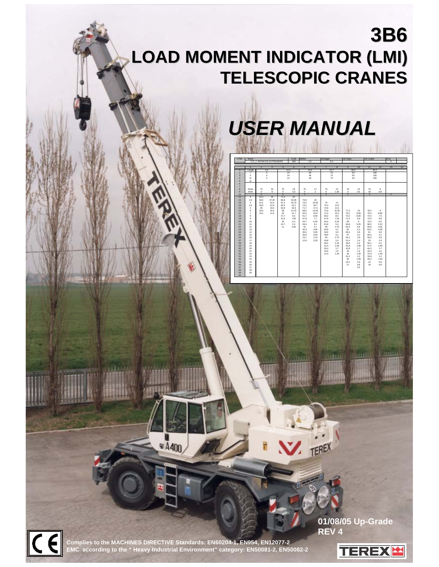# **3B6 LOAD MOMENT INDICATOR (LMI) LOAD MOMENT INDICATOR (LMI) TELESCOPIC CRANES TELESCOPIC CRANES**



| LTB1           | Name                  |                |                           |                | Code           | <b>Ballast</b> |                | Outrigger      |             | <b>Jib Angle</b> |             | <b>Jib Length</b> |              | Zone           |    |
|----------------|-----------------------|----------------|---------------------------|----------------|----------------|----------------|----------------|----------------|-------------|------------------|-------------|-------------------|--------------|----------------|----|
|                |                       |                | C71 1: BOOM ON OUTRIGGERS |                | 300            |                | 2.5            |                | 6.3         |                  |             |                   |              | $\overline{0}$ |    |
|                |                       |                |                           |                |                |                |                |                |             |                  |             |                   |              |                |    |
|                | $\overline{0}$        | $\mathbf{I}$   | $\overline{2}$            | $\overline{3}$ | $\overline{4}$ | $\overline{5}$ | 6              | $\overline{7}$ | 8           | $\overline{9}$   | 10          | 11                | 12           | 13             | 14 |
|                | Length                |                | 9.4                       |                | 14.4           |                | 19.5           |                | 24.7        |                  | 28.9        |                   | 30.4         |                |    |
| $\overline{2}$ |                       |                | $\circ$                   |                | 24             |                | 48             |                | 73          |                  | 93          |                   | 100          |                |    |
| $\overline{3}$ | $\mathbf{H}$          |                | $\mathbf 0$               |                | 24             |                | 48             |                | 73          |                  | 93          |                   | 100          |                |    |
| 4<br>6         | Ш<br>IV               |                | $\circ$                   |                | 24             |                | 48             |                | 73          |                  | 93          |                   | 100          |                |    |
| 6              |                       |                |                           |                |                |                |                |                |             |                  |             |                   |              |                |    |
| $\overline{z}$ |                       |                |                           |                |                |                |                |                |             |                  |             |                   |              |                |    |
| 8              | Amax                  | 79             | 32                        | 79             | 19             | 79             | 17             | 79             | 14          | 79               | 10          | 79                | $\mathbf{9}$ |                |    |
| $\overline{9}$ | Amin                  | $\circ$        | 8                         | $^{\circ}$     | 4.3            | $\circ$        | $\overline{2}$ | $^{\circ}$     | 1.05        | $\circ$          | 0.5         | 18                | 0.8          |                |    |
| 10             |                       | $\overline{2}$ |                           | $\overline{2}$ |                | $\overline{2}$ |                | $\overline{2}$ |             | $\overline{2}$   |             | $\overline{2}$    |              | $\overline{2}$ |    |
| 11             | 3                     | 62.4           | 32                        | 71.9           | 20             |                |                |                |             |                  |             |                   |              |                |    |
| 12<br>13       | 3.5<br>$\overline{4}$ | 58.4<br>54.1   | 27.45<br>24.4             | 69.8<br>67.4   | 20.35<br>20.75 | 75.9<br>74.5   | 18<br>18.45    | 76             | 14          |                  |             |                   |              |                |    |
| 14             | 4.5                   | 49.5           | 21.8                      | 65.2           | 21.2           | 73.1           | 18.7           | 75.2           | 14.5        |                  |             |                   |              |                |    |
| 16             | 6                     | 45             | 19.4                      | 62.8           | 19.3           | 71.7           | 17.3           | 74.6           | 14.3        |                  |             |                   |              |                |    |
| 16             | 6                     | 33.4           | 15.5                      | 58             | 14.75          | 68.6           | 13.45          | 72.9           | 12.35       | 77.2             | 10          | 78.2              | 9            |                |    |
| 17             | $\overline{7}$        | 19.1           | 11.5                      | 53             | 11.7           | 65.2           | 10.9           | 71.2           | 10.1        | 75.2             | 9.55        | 76.4              | 8.85         |                |    |
| 18             | 8                     |                |                           | 47.7           | 9.4            | 61.7           | 9.05           | 69.2           | 8.5         | 73.2             | 8.05        | 74.5              | 7.9          |                |    |
| 19             | $\mathbf{9}$          |                |                           | 41.8           | 7.65           | 57.8           | 7.7            | 67.9           | 7.25        | 71.2             | 6.9         | 72.5              | 6.8          |                |    |
| 20             | 10                    |                |                           | 35             | 6.4            | 53.7           | 6.45           | 64.4           | 6.25        | 69               | 6           | 70.4              | 5.9          |                |    |
| 21<br>22       | 11<br>12              |                |                           | 24.7<br>11     | 5.4<br>4.65    | 49.4<br>43     | 5.4<br>4.7     | 61.8<br>69     | 5.4<br>4.75 | 66.8<br>64.4     | 5.25<br>4.6 | 68.2<br>65.8      | 5.15<br>4.55 |                |    |
| 23             | 13                    |                |                           |                |                | 40.4           | 4.05           | 55.8           | 4.1         | 62               | 4.1         | 63.4              | 4.05         |                |    |
| 24             | 14                    |                |                           |                |                | 35.6           | 3.55           | 52.6           | 3.6         | 59.4             | 3.6         | 61                | 3,6          |                |    |
| 25             | 15                    |                |                           |                |                | 30.6           | 3.05           | 48.9           | 3.1         | 57               | 3.1         | 59.5              | 3.1          |                |    |
| 26             | 16                    |                |                           |                |                | 23.7           | 2.75           | 45             | 2.75        | 54.2             | 2.8         | 55.6              | 2.8          |                |    |
| 27             | 17                    |                |                           |                |                | 12.9           | 2.35           | 40.8           | 2.4         | 51.4             | 2.4         | 53                | 2,4          |                |    |
| 28             | 18                    |                |                           |                |                |                |                | 36.2           | 2.15        | 48.6             | 2.2         | 50.1              | 2.2          |                |    |
| 29<br>30       | 19<br>20              |                |                           |                |                |                |                | 31.4<br>26.4   | 1.95<br>1.7 | 45.8<br>42.8     | 1.95<br>1.7 | 47.2<br>44.2      | 1.95<br>1.7  |                |    |
| 31             | 21                    |                |                           |                |                |                |                | 22.6           | 1.5         | 40               | 1.5         | 43.3              | 1.5          |                |    |
| 32             | 22                    |                |                           |                |                |                |                | 12.4           | 1.35        | 36               | 1.35        | 37.8              | 1.35         |                |    |
| 33             | 23                    |                |                           |                |                |                |                |                |             | 31.2             | 1.2         | 33.8              | 1.2          |                |    |
| 34             | 24                    |                |                           |                |                |                |                |                |             | 26               | 1.05        | 29.2              | 1,05         |                |    |
| 35             | 25                    |                |                           |                |                |                |                |                |             | 19,2             | 0.9         | 24                | 0,9          |                |    |
| 36             | 26                    |                |                           |                |                |                |                |                |             | 11               | 0.8         | 18                | 0.8          |                |    |
| 37             | 27                    |                |                           |                |                |                |                |                |             |                  | 0.5         |                   |              |                |    |
| 38<br>39       | 28<br>29              |                |                           |                |                |                |                |                |             |                  |             |                   |              |                |    |
| 40             |                       |                |                           |                |                |                |                |                |             |                  |             |                   |              |                |    |
|                |                       |                |                           |                |                |                |                |                |             |                  |             |                   |              |                |    |

TEREX

**Complies to the MACHINES DIRECTIVE Standards: EN60204-1, EN954, EN12077-2 EMC according to the " Heavy Industrial Environment" category: EN50081-2, EN50082-2**

¥ A400

**01/08/05 Up-Grade REV 4**

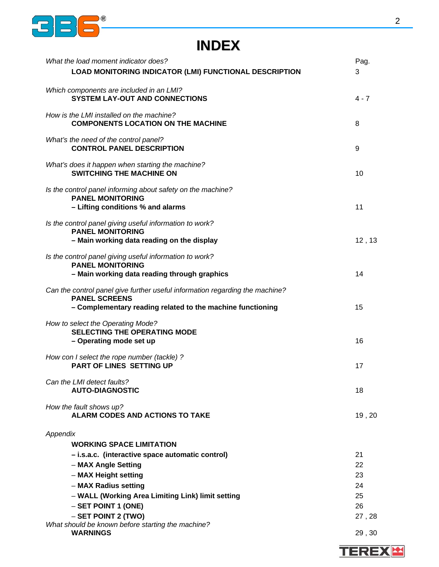

# **INDEX**

| What the load moment indicator does?<br>LOAD MONITORING INDICATOR (LMI) FUNCTIONAL DESCRIPTION                                                                     | Pag.<br>3            |
|--------------------------------------------------------------------------------------------------------------------------------------------------------------------|----------------------|
| Which components are included in an LMI?<br><b>SYSTEM LAY-OUT AND CONNECTIONS</b>                                                                                  | $4 - 7$              |
| How is the LMI installed on the machine?<br><b>COMPONENTS LOCATION ON THE MACHINE</b>                                                                              | 8                    |
| What's the need of the control panel?<br><b>CONTROL PANEL DESCRIPTION</b>                                                                                          | 9                    |
| What's does it happen when starting the machine?<br><b>SWITCHING THE MACHINE ON</b>                                                                                | 10                   |
| Is the control panel informing about safety on the machine?<br><b>PANEL MONITORING</b><br>- Lifting conditions % and alarms                                        | 11                   |
| Is the control panel giving useful information to work?<br><b>PANEL MONITORING</b><br>- Main working data reading on the display                                   | 12, 13               |
| Is the control panel giving useful information to work?<br><b>PANEL MONITORING</b><br>- Main working data reading through graphics                                 | 14                   |
| Can the control panel give further useful information regarding the machine?<br><b>PANEL SCREENS</b><br>- Complementary reading related to the machine functioning | 15                   |
| How to select the Operating Mode?<br><b>SELECTING THE OPERATING MODE</b><br>- Operating mode set up                                                                | 16                   |
| How con I select the rope number (tackle) ?<br><b>PART OF LINES SETTING UP</b>                                                                                     | 17                   |
| Can the LMI detect faults?<br><b>AUTO-DIAGNOSTIC</b>                                                                                                               | 18                   |
| How the fault shows up?<br><b>ALARM CODES AND ACTIONS TO TAKE</b>                                                                                                  | 19,20                |
| Appendix<br><b>WORKING SPACE LIMITATION</b>                                                                                                                        |                      |
| - i.s.a.c. (interactive space automatic control)<br>- MAX Angle Setting<br>- MAX Height setting<br>- MAX Radius setting                                            | 21<br>22<br>23<br>24 |
| - WALL (Working Area Limiting Link) limit setting<br>$-$ SET POINT 1 (ONE)<br>- SET POINT 2 (TWO)                                                                  | 25<br>26<br>27,28    |
| What should be known before starting the machine?<br><b>WARNINGS</b>                                                                                               | 29,30                |

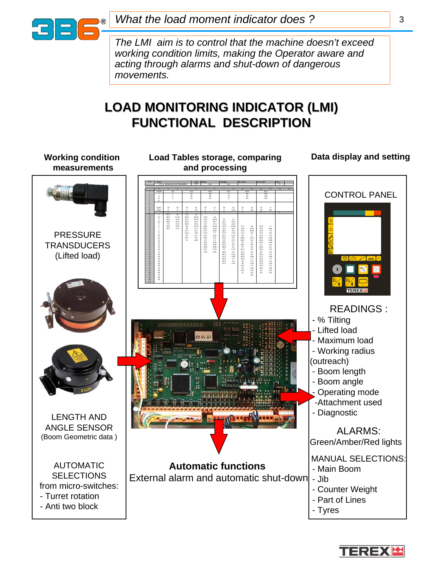

*What the load moment indicator does ?*

*The LMI aim is to control that the machine doesn't exceed working condition limits, making the Operator aware and acting through alarms and shut-down of dangerous movements.*

# **LOAD MONITORING INDICATOR (LMI) FUNCTIONAL DESCRIPTION**

| <b>Working condition</b><br>measurements                                                               | Load Tables storage, comparing<br>and processing                                                                                                                                                                                                                                                                                                                                                                                                                                                                                                                                                                                                                                                            | Data display and setting                                                                                                                                |
|--------------------------------------------------------------------------------------------------------|-------------------------------------------------------------------------------------------------------------------------------------------------------------------------------------------------------------------------------------------------------------------------------------------------------------------------------------------------------------------------------------------------------------------------------------------------------------------------------------------------------------------------------------------------------------------------------------------------------------------------------------------------------------------------------------------------------------|---------------------------------------------------------------------------------------------------------------------------------------------------------|
| <b>PRESSURE</b>                                                                                        | 100<br>100<br>100<br>$\frac{24}{24}$<br>$\frac{93}{93}$<br>73/73<br>32<br>27, 45<br>24, 4<br>21, 8<br>19, 4<br>15, 5<br>11, 5<br>71,98,8<br>67,4<br>65,2,8<br>58,53,7<br>41,8<br>24,7<br>11<br>75,9 74,7 73,8 85,2 7 8 49,4 3 40,6 7 9<br>18 18,7<br>18 18 7<br>17,3 45 9<br>17,45<br>19,05<br>7,6 45 4<br>4,05<br>3,05<br>2,75                                                                                                                                                                                                                                                                                                                                                                             | <b>CONTROL PANEL</b>                                                                                                                                    |
| <b>TRANSDUCERS</b><br>(Lifted load)                                                                    | 3.5 4 4.5 6 7 8 9 10 11 12 13 4 15 16 17 18 19 20 1 22 3 4 5 2 2 2 3 4<br>13 14 15 16 17 18 19 20 21 22 23 24 25 26 27 28 29 30 31 32 33 34 35<br>14 14 14 12 10 15 25 25 4 75 1 8 1 75 4 15 16 17 16 17 16 17 17 18<br>75, 2 6, 9 7 1 69, 7 4 4 8 5 5 2 4 8 4 6 8 2 4 4 5 5 6 2 4 8 4 6 9 3 3 1 4 4 6 9 4 7 2 5 4 7 2 5 4 7 2 5 4 5 6 7 2 6 2 7 2 8 4 5 6 7 2 8 4 5 6 7 2 8 4 5 6 7 2 8 4 5 6 7 2 8 4 5 7 2 8 4 5 7 2 8 4 5 7 2 8 4 5 7 2 8 4 5 7 2 8<br>1/75/22 29 86 84 82 84 72 84 85 88 98 98 98 99 11<br>78 (4 5 5 4 2 8 6 6 8 6 7 2 3 3 8 2 9 1 8 7 4 3 3 4 3 3 4 4 3 3 4 4 4 3 3 4 2 4 1 8 5 6 5 6 7 4 4 3 3 7 8 8 2 4 1 8<br>986962581842242575352575582575525755252575532575582575582575582575582 | $\mathbb{Z}$ $\mathbb{R}$ $\mathbb{Z}$ $\mathbb{R}$ $\mathbb{R}$<br>$\frac{1}{2}$<br>$\bigotimes$<br>$\frac{1}{2}$<br><b>TEREX</b>                      |
|                                                                                                        | <br>IH 45.43                                                                                                                                                                                                                                                                                                                                                                                                                                                                                                                                                                                                                                                                                                | <b>READINGS:</b><br>- % Tilting<br>- Lifted load<br>- Maximum load<br>- Working radius<br>(outreach)<br>- Boom length<br>- Boom angle<br>Operating mode |
| <b>LENGTH AND</b><br><b>ANGLE SENSOR</b><br>(Boom Geometric data)                                      |                                                                                                                                                                                                                                                                                                                                                                                                                                                                                                                                                                                                                                                                                                             | -Attachment used<br>- Diagnostic<br><b>ALARMS:</b><br>Green/Amber/Red lights                                                                            |
| <b>AUTOMATIC</b><br><b>SELECTIONS</b><br>from micro-switches:<br>- Turret rotation<br>- Anti two block | <b>Automatic functions</b><br>External alarm and automatic shut-down - Jib                                                                                                                                                                                                                                                                                                                                                                                                                                                                                                                                                                                                                                  | <b>MANUAL SELECTIONS:</b><br>- Main Boom<br>- Counter Weight<br>- Part of Lines<br>- Tyres                                                              |

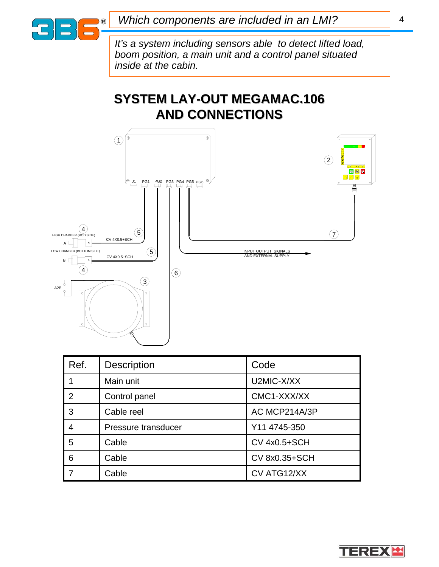

# **SYSTEM LAY-OUT MEGAMAC.106 AND CONNECTIONS AND CONNECTIONS**



| Ref.           | <b>Description</b>  | Code                |
|----------------|---------------------|---------------------|
|                | Main unit           | U2MIC-X/XX          |
| $\overline{2}$ | Control panel       | CMC1-XXX/XX         |
| 3              | Cable reel          | AC MCP214A/3P       |
| 4              | Pressure transducer | Y11 4745-350        |
| 5              | Cable               | <b>CV 4x0.5+SCH</b> |
| 6              | Cable               | CV 8x0.35+SCH       |
|                | Cable               | CV ATG12/XX         |



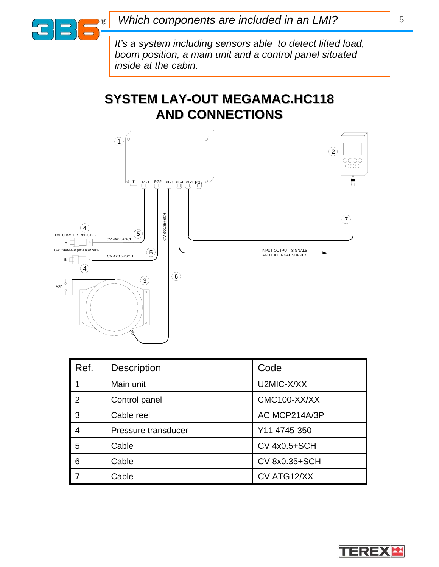

# **SYSTEM LAY-OUT MEGAMAC.HC118 AND CONNECTIONS AND CONNECTIONS**



| Ref.           | <b>Description</b>  | Code                |
|----------------|---------------------|---------------------|
|                | Main unit           | U2MIC-X/XX          |
| $\overline{2}$ | Control panel       | CMC100-XX/XX        |
| 3              | Cable reel          | AC MCP214A/3P       |
| 4              | Pressure transducer | Y11 4745-350        |
| 5              | Cable               | <b>CV 4x0.5+SCH</b> |
| 6              | Cable               | CV 8x0.35+SCH       |
|                | Cable               | CV ATG12/XX         |



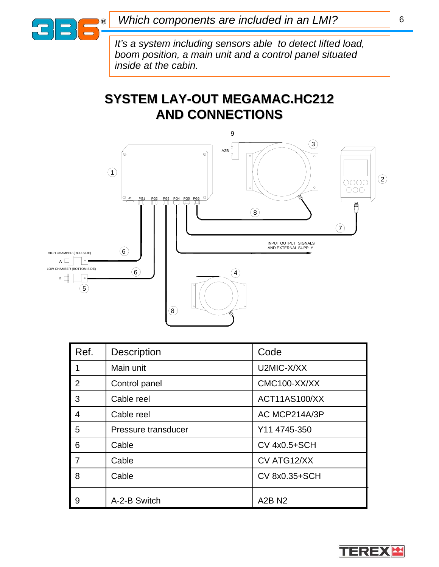

# **SYSTEM LAY-OUT MEGAMAC.HC212 AND CONNECTIONS AND CONNECTIONS**



| Ref.           | <b>Description</b>  | Code                 |
|----------------|---------------------|----------------------|
|                | Main unit           | U2MIC-X/XX           |
| 2              | Control panel       | CMC100-XX/XX         |
| 3              | Cable reel          | <b>ACT11AS100/XX</b> |
| $\overline{4}$ | Cable reel          | AC MCP214A/3P        |
| 5              | Pressure transducer | Y11 4745-350         |
| 6              | Cable               | <b>CV 4x0.5+SCH</b>  |
| 7              | Cable               | CV ATG12/XX          |
| 8              | Cable               | CV 8x0.35+SCH        |
| 9              | A-2-B Switch        | <b>A2B N2</b>        |

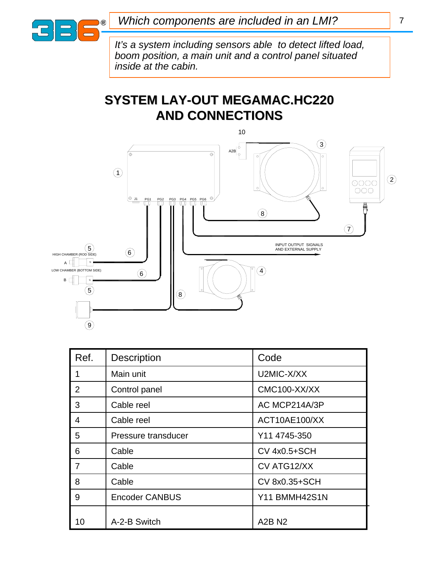

# **SYSTEM LAY-OUT MEGAMAC.HC220 AND CONNECTIONS AND CONNECTIONS**



| Ref. | <b>Description</b>    | Code                |
|------|-----------------------|---------------------|
| 1    | Main unit             | U2MIC-X/XX          |
| 2    | Control panel         | CMC100-XX/XX        |
| 3    | Cable reel            | AC MCP214A/3P       |
| 4    | Cable reel            | ACT10AE100/XX       |
| 5    | Pressure transducer   | Y11 4745-350        |
| 6    | Cable                 | <b>CV 4x0.5+SCH</b> |
| 7    | Cable                 | CV ATG12/XX         |
| 8    | Cable                 | CV 8x0.35+SCH       |
| 9    | <b>Encoder CANBUS</b> | Y11 BMMH42S1N       |
| 10   | A-2-B Switch          | <b>A2B N2</b>       |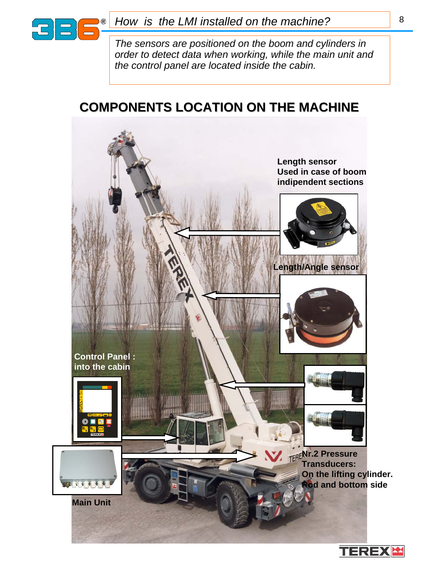

*The sensors are positioned on the boom and cylinders in order to detect data when working, while the main unit and the control panel are located inside the cabin.*

# **COMPONENTS LOCATION ON THE MACHINE COMPONENTS LOCATION ON THE MACHINE**

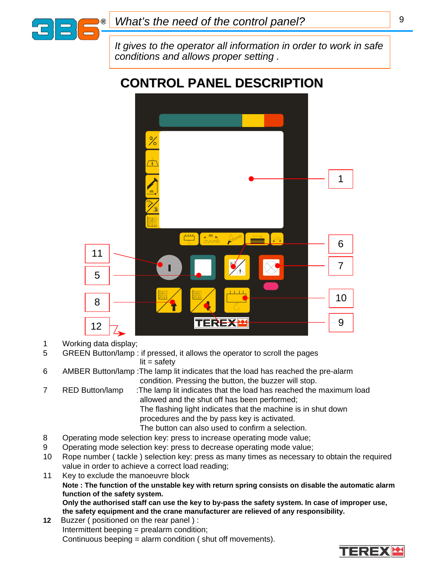

*It gives to the operator all information in order to work in safe conditions and allows proper setting .*

# **CONTROL PANEL DESCRIPTION CONTROL PANEL DESCRIPTION**



1 Working data display;

5 GREEN Button/lamp : if pressed, it allows the operator to scroll the pages  $lit = safety$ 

- 6 AMBER Button/lamp :The lamp lit indicates that the load has reached the pre-alarm condition. Pressing the button, the buzzer will stop.
- 7 RED Button/lamp :The lamp lit indicates that the load has reached the maximum load allowed and the shut off has been performed; The flashing light indicates that the machine is in shut down procedures and the by pass key is activated.

The button can also used to confirm a selection.

- 8 Operating mode selection key: press to increase operating mode value;
- 9 Operating mode selection key: press to decrease operating mode value;
- 10 Rope number ( tackle ) selection key: press as many times as necessary to obtain the required value in order to achieve a correct load reading;
- 11 Key to exclude the manoeuvre block

**Note : The function of the unstable key with return spring consists on disable the automatic alarm function of the safety system.**

**Only the authorised staff can use the key to by-pass the safety system. In case of improper use, the safety equipment and the crane manufacturer are relieved of any responsibility.**

**12** Buzzer ( positioned on the rear panel ) : Intermittent beeping = prealarm condition; Continuous beeping = alarm condition ( shut off movements).

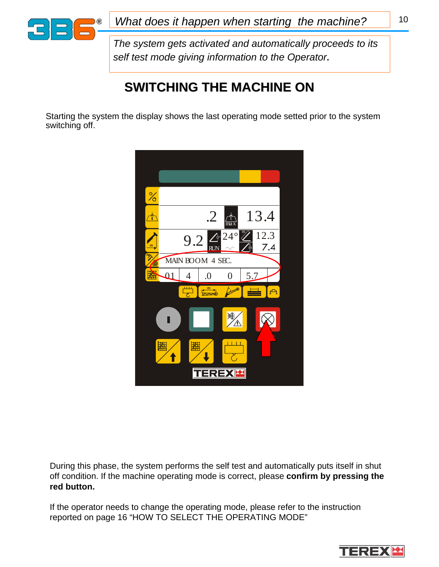

*What does it happen when starting the machine?* | 10

*The system gets activated and automatically proceeds to its self test mode giving information to the Operator.*

# **SWITCHING THE MACHINE ON SWITCHING THE MACHINE ON**

Starting the system the display shows the last operating mode setted prior to the system switching off.



During this phase, the system performs the self test and automatically puts itself in shut off condition. If the machine operating mode is correct, please **confirm by pressing the red button.**

If the operator needs to change the operating mode, please refer to the instruction reported on page 16 "HOW TO SELECT THE OPERATING MODE"

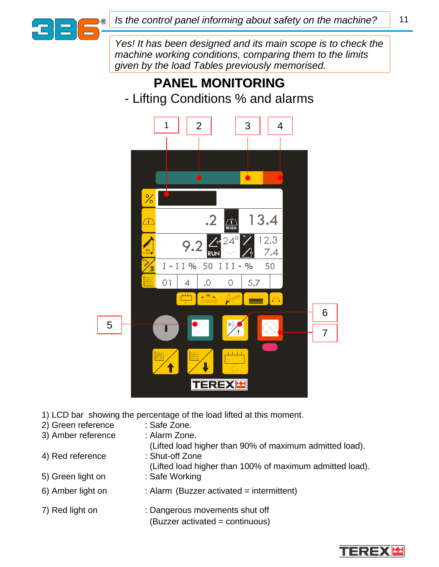

*Yes! It has been designed and its main scope is to check the machine working conditions, comparing them to the limits given by the load Tables previously memorised.*

# **PANEL MONITORING PANEL MONITORING** - Lifting Conditions % and alarms



- 1) LCD bar showing the percentage of the load lifted at this moment.
- 2) Green reference : Safe Zone.
- 3) Amber reference : Alarm Zone.
- -
- 4) Red reference : Shut-off Zone
- 
- 
- 
- - (Lifted load higher than 90% of maximum admitted load).
- (Lifted load higher than 100% of maximum admitted load).
- 5) Green light on : Safe Working
- 6) Amber light on : Alarm (Buzzer activated = intermittent)
- 7) Red light on : Dangerous movements shut off (Buzzer activated = continuous)

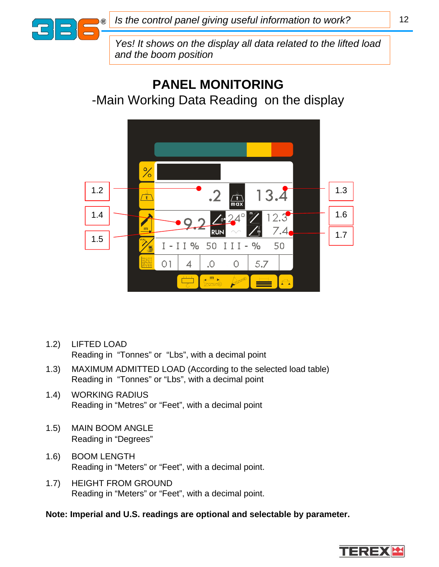

*Yes! It shows on the display all data related to the lifted load and the boom position*

# **PANEL MONITORING** -Main Working Data Reading on the display



- 1.2) LIFTED LOAD Reading in "Tonnes" or "Lbs", with a decimal point
- 1.3) MAXIMUM ADMITTED LOAD (According to the selected load table) Reading in "Tonnes" or "Lbs", with a decimal point
- 1.4) WORKING RADIUS Reading in "Metres" or "Feet", with a decimal point
- 1.5) MAIN BOOM ANGLE Reading in "Degrees"
- 1.6) BOOM LENGTH Reading in "Meters" or "Feet", with a decimal point.
- 1.7) HEIGHT FROM GROUND Reading in "Meters" or "Feet", with a decimal point.

### **Note: Imperial and U.S. readings are optional and selectable by parameter.**

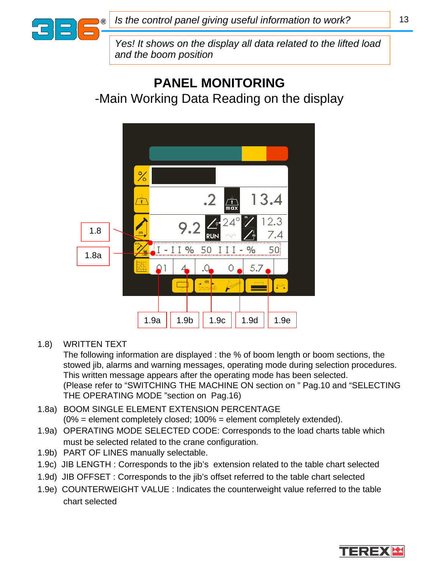

*Yes! It shows on the display all data related to the lifted load and the boom position*

# **PANEL MONITORING** -Main Working Data Reading on the display



1.8) WRITTEN TEXT

The following information are displayed : the % of boom length or boom sections, the stowed jib, alarms and warning messages, operating mode during selection procedures. This written message appears after the operating mode has been selected. (Please refer to "SWITCHING THE MACHINE ON section on " Pag.10 and "SELECTING THE OPERATING MODE "section on Pag.16)

- 1.8a) BOOM SINGLE ELEMENT EXTENSION PERCENTAGE (0% = element completely closed; 100% = element completely extended).
- 1.9a) OPERATING MODE SELECTED CODE: Corresponds to the load charts table which must be selected related to the crane configuration.
- 1.9b) PART OF LINES manually selectable.
- 1.9c) JIB LENGTH : Corresponds to the jib's extension related to the table chart selected
- 1.9d) JIB OFFSET : Corresponds to the jib's offset referred to the table chart selected
- 1.9e) COUNTERWEIGHT VALUE : Indicates the counterweight value referred to the table chart selected

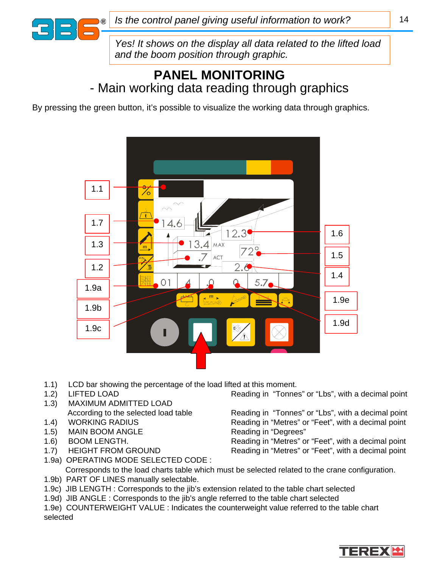

*Yes! It shows on the display all data related to the lifted load and the boom position through graphic.*

### **PANEL MONITORING** - Main working data reading through graphics

By pressing the green button, it's possible to visualize the working data through graphics.



- 1.1) LCD bar showing the percentage of the load lifted at this moment.
- 
- 1.3) MAXIMUM ADMITTED LOAD
- 
- 1.5) MAIN BOOM ANGLE Reading in "Degrees"
- 
- 

1.2) LIFTED LOAD Reading in "Tonnes" or "Lbs", with a decimal point

According to the selected load table Reading in "Tonnes" or "Lbs", with a decimal point 1.4) WORKING RADIUS Reading in "Metres" or "Feet", with a decimal point

1.6) BOOM LENGTH. The Reading in "Metres" or "Feet", with a decimal point 1.7) HEIGHT FROM GROUND Reading in "Metres" or "Feet", with a decimal point

- 1.9a) OPERATING MODE SELECTED CODE : Corresponds to the load charts table which must be selected related to the crane configuration. 1.9b) PART OF LINES manually selectable.
- 1.9c) JIB LENGTH : Corresponds to the jib's extension related to the table chart selected
- 1.9d) JIB ANGLE : Corresponds to the jib's angle referred to the table chart selected

1.9e) COUNTERWEIGHT VALUE : Indicates the counterweight value referred to the table chart selected

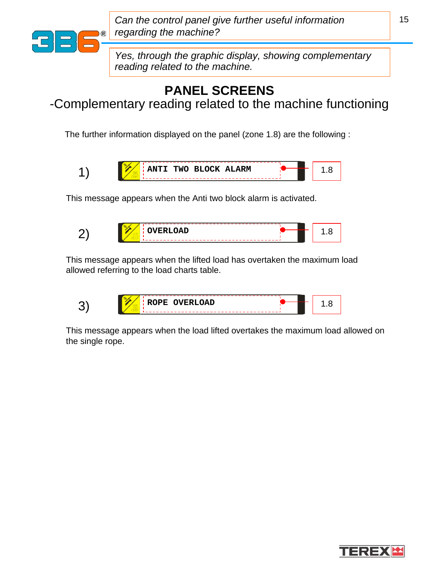

*Can the control panel give further useful information regarding the machine?*

*Yes, through the graphic display, showing complementary reading related to the machine.*

# **PANEL SCREENS**

-Complementary reading related to the machine functioning

The further information displayed on the panel (zone 1.8) are the following :



This message appears when the Anti two block alarm is activated.



This message appears when the lifted load has overtaken the maximum load allowed referring to the load charts table.

|--|

This message appears when the load lifted overtakes the maximum load allowed on the single rope.

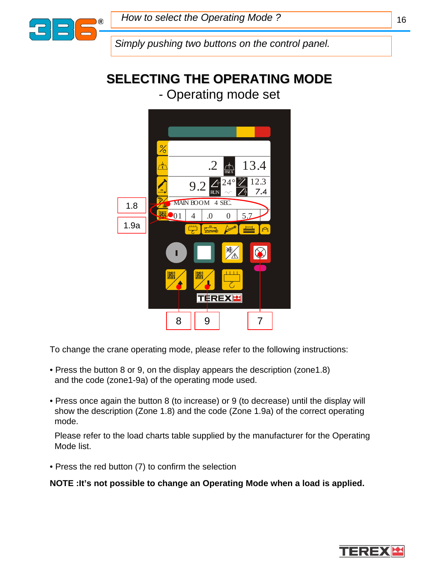

*Simply pushing two buttons on the control panel.*

# **SELECTING THE OPERATING MODE SELECTING THE OPERATING MODE**

### - Operating mode set



To change the crane operating mode, please refer to the following instructions:

- Press the button 8 or 9, on the display appears the description (zone1.8) and the code (zone1-9a) of the operating mode used.
- Press once again the button 8 (to increase) or 9 (to decrease) until the display will show the description (Zone 1.8) and the code (Zone 1.9a) of the correct operating mode.

Please refer to the load charts table supplied by the manufacturer for the Operating Mode list.

• Press the red button (7) to confirm the selection

**NOTE :It's not possible to change an Operating Mode when a load is applied.**

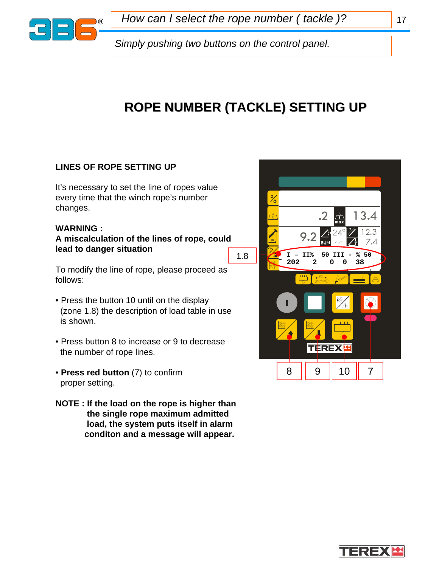

*How can I select the rope number ( tackle )?* 17

*Simply pushing two buttons on the control panel.*

# **ROPE NUMBER (TACKLE) SETTING UP ROPE NUMBER (TACKLE) SETTING UP**

### **LINES OF ROPE SETTING UP**

It's necessary to set the line of ropes value every time that the winch rope's number changes.

#### **WARNING :**

**A miscalculation of the lines of rope, could lead to danger situation**

To modify the line of rope, please proceed as follows:

- Press the button 10 until on the display (zone 1.8) the description of load table in use is shown.
- Press button 8 to increase or 9 to decrease the number of rope lines.
- **Press red button** (7) to confirm proper setting.
- **NOTE : If the load on the rope is higher than the single rope maximum admitted load, the system puts itself in alarm conditon and a message will appear.**



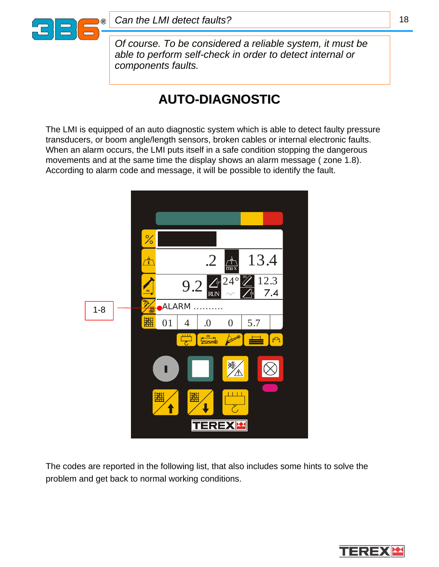

*Of course. To be considered a reliable system, it must be able to perform self-check in order to detect internal or components faults.*

# **AUTO-DIAGNOSTIC DIAGNOSTIC**

The LMI is equipped of an auto diagnostic system which is able to detect faulty pressure transducers, or boom angle/length sensors, broken cables or internal electronic faults. When an alarm occurs, the LMI puts itself in a safe condition stopping the dangerous movements and at the same time the display shows an alarm message ( zone 1.8). According to alarm code and message, it will be possible to identify the fault.



The codes are reported in the following list, that also includes some hints to solve the problem and get back to normal working conditions.

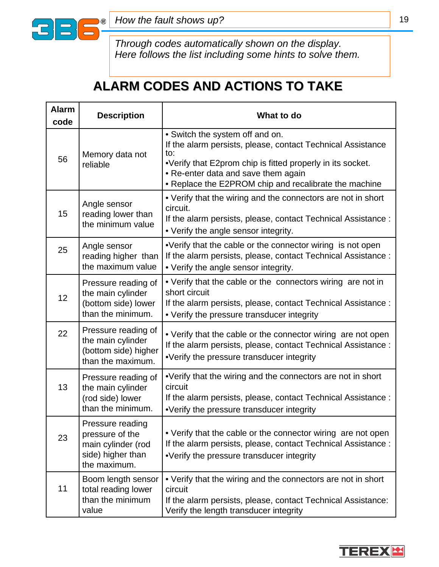

*Through codes automatically shown on the display. Here follows the list including some hints to solve them.*

# **ALARM CODES AND ACTIONS TO TAKE ALARM CODES AND ACTIONS TO TAKE**

| <b>Alarm</b><br>code | <b>Description</b>                                                                             | What to do                                                                                                                                                                                                                                                          |
|----------------------|------------------------------------------------------------------------------------------------|---------------------------------------------------------------------------------------------------------------------------------------------------------------------------------------------------------------------------------------------------------------------|
| 56                   | Memory data not<br>reliable                                                                    | • Switch the system off and on.<br>If the alarm persists, please, contact Technical Assistance<br>to:<br>•Verify that E2prom chip is fitted properly in its socket.<br>• Re-enter data and save them again<br>• Replace the E2PROM chip and recalibrate the machine |
| 15                   | Angle sensor<br>reading lower than<br>the minimum value                                        | • Verify that the wiring and the connectors are not in short<br>circuit.<br>If the alarm persists, please, contact Technical Assistance :<br>• Verify the angle sensor integrity.                                                                                   |
| 25                   | Angle sensor<br>reading higher than<br>the maximum value                                       | •Verify that the cable or the connector wiring is not open<br>If the alarm persists, please, contact Technical Assistance :<br>• Verify the angle sensor integrity.                                                                                                 |
| 12                   | Pressure reading of<br>the main cylinder<br>(bottom side) lower<br>than the minimum.           | • Verify that the cable or the connectors wiring are not in<br>short circuit<br>If the alarm persists, please, contact Technical Assistance :<br>• Verify the pressure transducer integrity                                                                         |
| 22                   | Pressure reading of<br>the main cylinder<br>(bottom side) higher<br>than the maximum.          | • Verify that the cable or the connector wiring are not open<br>If the alarm persists, please, contact Technical Assistance :<br>•Verify the pressure transducer integrity                                                                                          |
| 13                   | Pressure reading of<br>the main cylinder<br>(rod side) lower<br>than the minimum.              | •Verify that the wiring and the connectors are not in short<br>circuit<br>If the alarm persists, please, contact Technical Assistance :<br>•Verify the pressure transducer integrity                                                                                |
| 23                   | Pressure reading<br>pressure of the<br>main cylinder (rod<br>side) higher than<br>the maximum. | • Verify that the cable or the connector wiring are not open<br>If the alarm persists, please, contact Technical Assistance :<br>•Verify the pressure transducer integrity                                                                                          |
| 11                   | Boom length sensor<br>total reading lower<br>than the minimum<br>value                         | • Verify that the wiring and the connectors are not in short<br>circuit<br>If the alarm persists, please, contact Technical Assistance:<br>Verify the length transducer integrity                                                                                   |

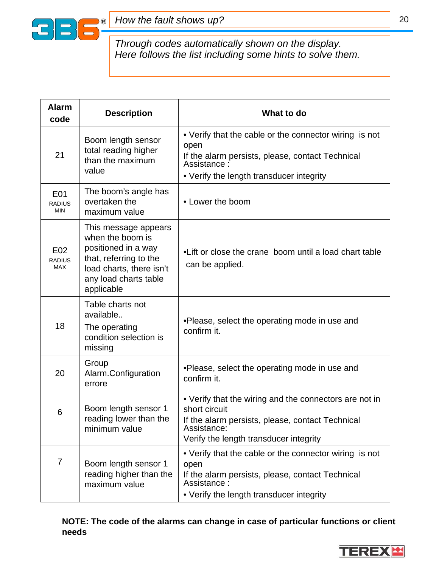

*Through codes automatically shown on the display. Here follows the list including some hints to solve them.*

| <b>Alarm</b><br>code                                                                         | <b>Description</b>                                                                                                                                           | What to do                                                                                                                                                                           |  |
|----------------------------------------------------------------------------------------------|--------------------------------------------------------------------------------------------------------------------------------------------------------------|--------------------------------------------------------------------------------------------------------------------------------------------------------------------------------------|--|
| 21                                                                                           | Boom length sensor<br>total reading higher<br>than the maximum<br>value                                                                                      | • Verify that the cable or the connector wiring is not<br>open<br>If the alarm persists, please, contact Technical<br>Assistance:<br>• Verify the length transducer integrity        |  |
| The boom's angle has<br>E01<br>overtaken the<br><b>RADIUS</b><br><b>MIN</b><br>maximum value |                                                                                                                                                              | • Lower the boom                                                                                                                                                                     |  |
| E <sub>02</sub><br><b>RADIUS</b><br><b>MAX</b>                                               | This message appears<br>when the boom is<br>positioned in a way<br>that, referring to the<br>load charts, there isn't<br>any load charts table<br>applicable | •Lift or close the crane boom until a load chart table<br>can be applied.                                                                                                            |  |
| 18                                                                                           | Table charts not<br>available<br>The operating<br>condition selection is<br>missing                                                                          | •Please, select the operating mode in use and<br>confirm it.                                                                                                                         |  |
| 20                                                                                           | Group<br>Alarm.Configuration<br>errore                                                                                                                       | •Please, select the operating mode in use and<br>confirm it.                                                                                                                         |  |
| 6                                                                                            | Boom length sensor 1<br>reading lower than the<br>minimum value                                                                                              | • Verify that the wiring and the connectors are not in<br>short circuit<br>If the alarm persists, please, contact Technical<br>Assistance:<br>Verify the length transducer integrity |  |
| 7                                                                                            | Boom length sensor 1<br>reading higher than the<br>maximum value                                                                                             | • Verify that the cable or the connector wiring is not<br>open<br>If the alarm persists, please, contact Technical<br>Assistance:<br>• Verify the length transducer integrity        |  |

**NOTE: The code of the alarms can change in case of particular functions or client needs**

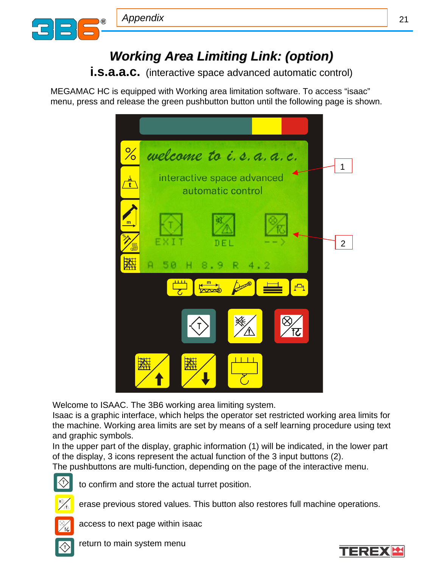

**i.s.a.a.c.** (interactive space advanced automatic control)

MEGAMAC HC is equipped with Working area limitation software. To access "isaac" menu, press and release the green pushbutton button until the following page is shown.



Welcome to ISAAC. The 3B6 working area limiting system.

Isaac is a graphic interface, which helps the operator set restricted working area limits for the machine. Working area limits are set by means of a self learning procedure using text and graphic symbols.

In the upper part of the display, graphic information (1) will be indicated, in the lower part of the display, 3 icons represent the actual function of the 3 input buttons (2). The pushbuttons are multi-function, depending on the page of the interactive menu.



to confirm and store the actual turret position.



erase previous stored values. This button also restores full machine operations.



access to next page within isaac



return to main system menu

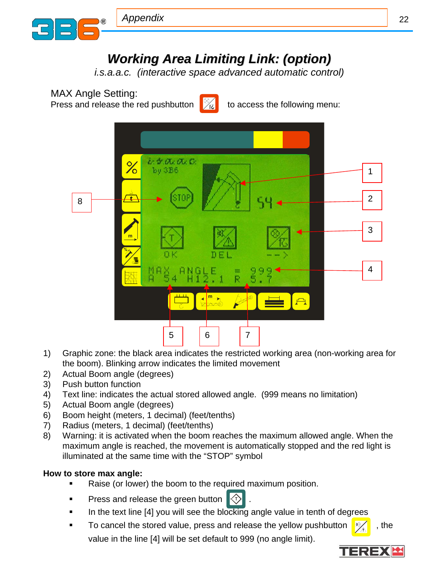

*i.s.a.a.c. (interactive space advanced automatic control)*

MAX Angle Setting:

Press and release the red pushbutton  $\frac{1}{2}$  to access the following menu:





- 1) Graphic zone: the black area indicates the restricted working area (non-working area for the boom). Blinking arrow indicates the limited movement
- 2) Actual Boom angle (degrees)
- 3) Push button function
- 4) Text line: indicates the actual stored allowed angle. (999 means no limitation)
- 5) Actual Boom angle (degrees)
- 6) Boom height (meters, 1 decimal) (feet/tenths)
- 7) Radius (meters, 1 decimal) (feet/tenths)
- 8) Warning: it is activated when the boom reaches the maximum allowed angle. When the maximum angle is reached, the movement is automatically stopped and the red light is illuminated at the same time with the "STOP" symbol

### **How to store max angle:**

- Raise (or lower) the boom to the required maximum position.
- Press and release the green button  $|\langle \tau \rangle|$
- In the text line [4] you will see the blocking angle value in tenth of degrees
- To cancel the stored value, press and release the yellow pushbutton  $\sqrt{\frac{m}{\lambda}}$ , the value in the line [4] will be set default to 999 (no angle limit).

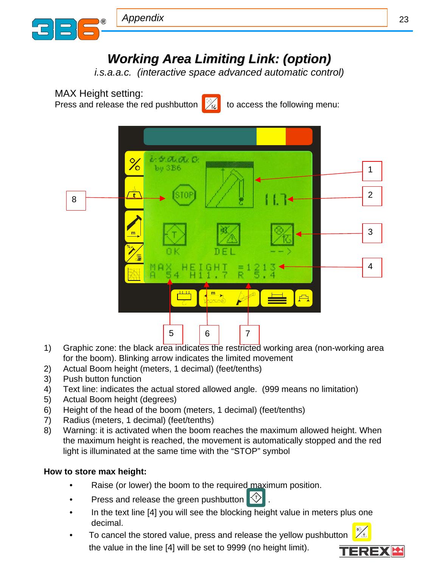

*i.s.a.a.c. (interactive space advanced automatic control)*

MAX Height setting:

Press and release the red pushbutton  $\sqrt{\frac{1}{k}}$  to access the following menu:





- 1) Graphic zone: the black area indicates the restricted working area (non-working area for the boom). Blinking arrow indicates the limited movement
- 2) Actual Boom height (meters, 1 decimal) (feet/tenths)
- 3) Push button function
- 4) Text line: indicates the actual stored allowed angle. (999 means no limitation)
- 5) Actual Boom height (degrees)
- 6) Height of the head of the boom (meters, 1 decimal) (feet/tenths)
- 7) Radius (meters, 1 decimal) (feet/tenths)
- 8) Warning: it is activated when the boom reaches the maximum allowed height. When the maximum height is reached, the movement is automatically stopped and the red light is illuminated at the same time with the "STOP" symbol

### **How to store max height:**

- Raise (or lower) the boom to the required maximum position.
- Press and release the green pushbutton  $\Diamond$ .
- In the text line [4] you will see the blocking height value in meters plus one decimal.  $\mathbb{X}_{\!\Delta}$
- To cancel the stored value, press and release the yellow pushbutton the value in the line [4] will be set to 9999 (no height limit).

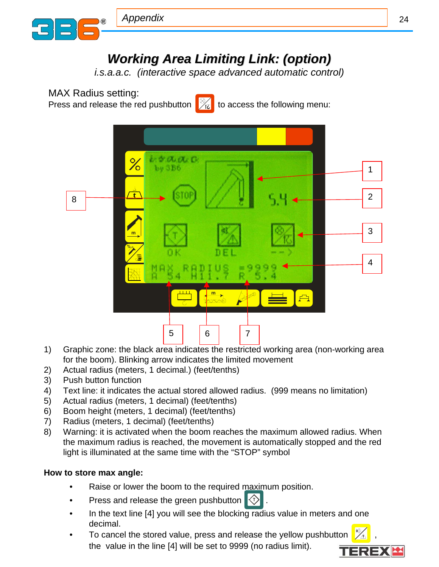

*i.s.a.a.c. (interactive space advanced automatic control)*

MAX Radius setting:

Press and release the red pushbutton  $\sqrt{\frac{2}{k}}$  to access the following menu:





- 1) Graphic zone: the black area indicates the restricted working area (non-working area for the boom). Blinking arrow indicates the limited movement
- 2) Actual radius (meters, 1 decimal.) (feet/tenths)
- 3) Push button function
- 4) Text line: it indicates the actual stored allowed radius. (999 means no limitation)
- 5) Actual radius (meters, 1 decimal) (feet/tenths)
- 6) Boom height (meters, 1 decimal) (feet/tenths)
- 7) Radius (meters, 1 decimal) (feet/tenths)
- 8) Warning: it is activated when the boom reaches the maximum allowed radius. When the maximum radius is reached, the movement is automatically stopped and the red light is illuminated at the same time with the "STOP" symbol

### **How to store max angle:**

- Raise or lower the boom to the required maximum position.
- Press and release the green pushbutton  $\left\langle \downarrow \right\rangle$ .
- In the text line [4] you will see the blocking radius value in meters and one decimal.
- To cancel the stored value, press and release the yellow pushbutton  $\frac{1}{2}$ the value in the line [4] will be set to 9999 (no radius limit).

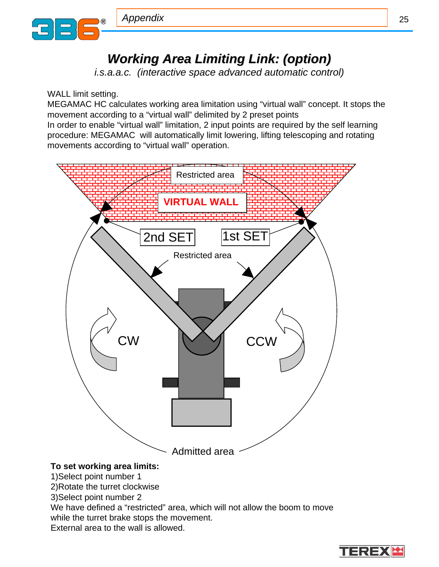

*i.s.a.a.c. (interactive space advanced automatic control)*

### WALL limit setting.

MEGAMAC HC calculates working area limitation using "virtual wall" concept. It stops the movement according to a "virtual wall" delimited by 2 preset points

In order to enable "virtual wall" limitation, 2 input points are required by the self learning procedure: MEGAMAC will automatically limit lowering, lifting telescoping and rotating movements according to "virtual wall" operation.



We have defined a "restricted" area, which will not allow the boom to move while the turret brake stops the movement.

External area to the wall is allowed.

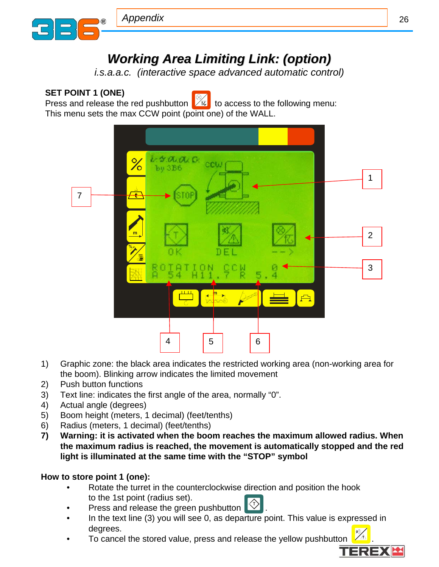

*i.s.a.a.c. (interactive space advanced automatic control)*

### **SET POINT 1 (ONE)**

Press and release the red pushbutton  $\mathbb{Z}$  to access to the following menu:

This menu sets the max CCW point (point one) of the WALL.



- 1) Graphic zone: the black area indicates the restricted working area (non-working area for the boom). Blinking arrow indicates the limited movement
- 2) Push button functions
- 3) Text line: indicates the first angle of the area, normally "0".
- 4) Actual angle (degrees)
- 5) Boom height (meters, 1 decimal) (feet/tenths)
- 6) Radius (meters, 1 decimal) (feet/tenths)
- **7) Warning: it is activated when the boom reaches the maximum allowed radius. When the maximum radius is reached, the movement is automatically stopped and the red light is illuminated at the same time with the "STOP" symbol**

### **How to store point 1 (one):**

- Rotate the turret in the counterclockwise direction and position the hook to the 1st point (radius set).
- Press and release the green pushbutton **T**
- In the text line (3) you will see 0, as departure point. This value is expressed in degrees.
- degrees.<br>To cancel the stored value, press and release the yellow pushbutton  $\frac{1}{24}$ .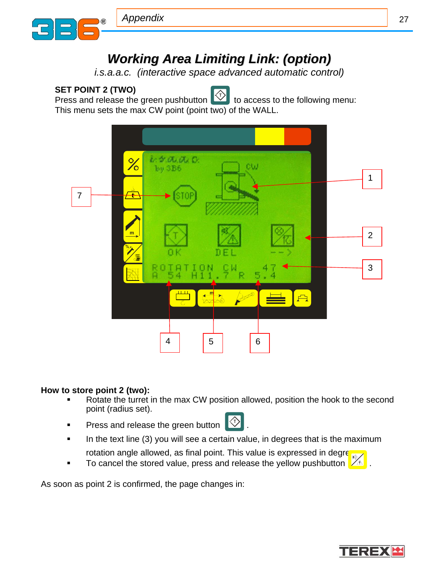

*i.s.a.a.c. (interactive space advanced automatic control)*

### **SET POINT 2 (TWO)**

Press and release the green pushbutton  $\mathbb{E}$  to access to the following menu: This menu sets the max CW point (point two) of the WALL.



#### **How to store point 2 (two):**

- Rotate the turret in the max CW position allowed, position the hook to the second point (radius set).
- Press and release the green button **T**
- In the text line (3) you will see a certain value, in degrees that is the maximum rotation angle allowed, as final point. This value is expressed in degrees.
- To cancel the stored value, press and release the yellow pushbutton  $\sqrt{\mathbb{A}}$ .

As soon as point 2 is confirmed, the page changes in:

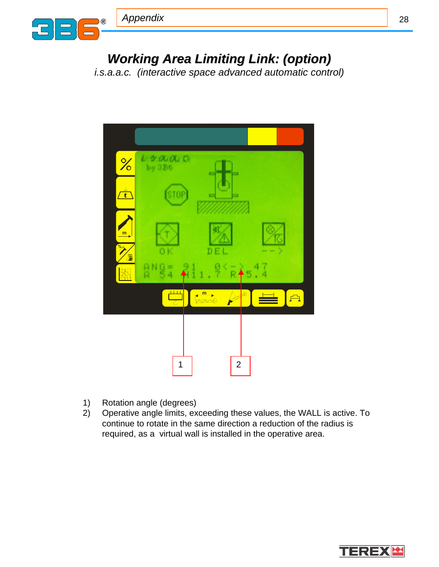

*i.s.a.a.c. (interactive space advanced automatic control)*



- 1) Rotation angle (degrees)
- 2) Operative angle limits, exceeding these values, the WALL is active. To continue to rotate in the same direction a reduction of the radius is required, as a virtual wall is installed in the operative area.

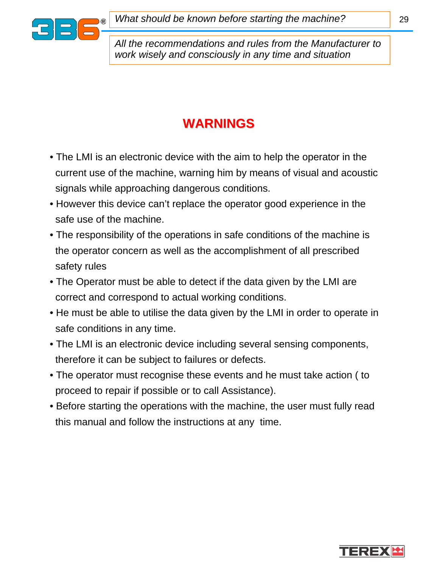

*What should be known before starting the machine?*

*All the recommendations and rules from the Manufacturer to work wisely and consciously in any time and situation*

# **WARNINGS WARNINGS**

- The LMI is an electronic device with the aim to help the operator in the current use of the machine, warning him by means of visual and acoustic signals while approaching dangerous conditions.
- However this device can't replace the operator good experience in the safe use of the machine.
- The responsibility of the operations in safe conditions of the machine is the operator concern as well as the accomplishment of all prescribed safety rules
- The Operator must be able to detect if the data given by the LMI are correct and correspond to actual working conditions.
- He must be able to utilise the data given by the LMI in order to operate in safe conditions in any time.
- The LMI is an electronic device including several sensing components, therefore it can be subject to failures or defects.
- The operator must recognise these events and he must take action ( to proceed to repair if possible or to call Assistance).
- Before starting the operations with the machine, the user must fully read this manual and follow the instructions at any time.

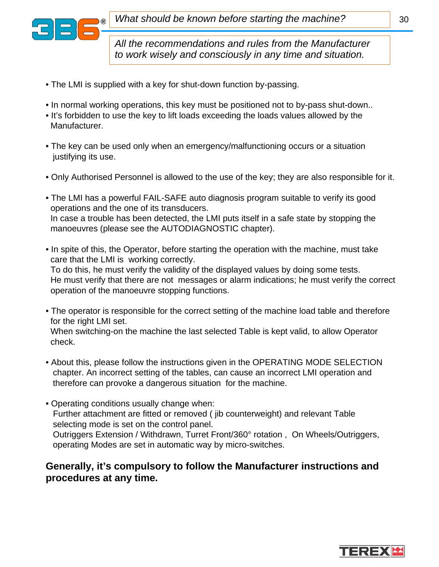

*All the recommendations and rules from the Manufacturer to work wisely and consciously in any time and situation.*

- The LMI is supplied with a key for shut-down function by-passing.
- In normal working operations, this key must be positioned not to by-pass shut-down..
- It's forbidden to use the key to lift loads exceeding the loads values allowed by the Manufacturer.
- The key can be used only when an emergency/malfunctioning occurs or a situation justifying its use.
- Only Authorised Personnel is allowed to the use of the key; they are also responsible for it.
- The LMI has a powerful FAIL-SAFE auto diagnosis program suitable to verify its good operations and the one of its transducers. In case a trouble has been detected, the LMI puts itself in a safe state by stopping the manoeuvres (please see the AUTODIAGNOSTIC chapter).
- In spite of this, the Operator, before starting the operation with the machine, must take care that the LMI is working correctly. To do this, he must verify the validity of the displayed values by doing some tests. He must verify that there are not messages or alarm indications; he must verify the correct operation of the manoeuvre stopping functions.
- The operator is responsible for the correct setting of the machine load table and therefore for the right LMI set.

When switching-on the machine the last selected Table is kept valid, to allow Operator check.

- About this, please follow the instructions given in the OPERATING MODE SELECTION chapter. An incorrect setting of the tables, can cause an incorrect LMI operation and therefore can provoke a dangerous situation for the machine.
- Operating conditions usually change when: Further attachment are fitted or removed ( jib counterweight) and relevant Table selecting mode is set on the control panel. Outriggers Extension / Withdrawn, Turret Front/360° rotation , On Wheels/Outriggers, operating Modes are set in automatic way by micro-switches.

### **Generally, it's compulsory to follow the Manufacturer instructions and procedures at any time.**